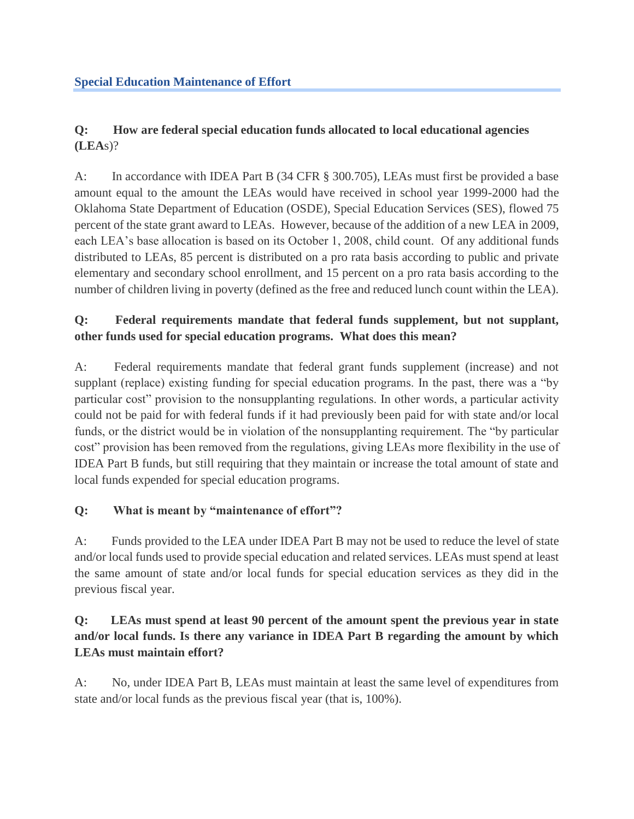# **Q: How are federal special education funds allocated to local educational agencies (LEA**s)?

A: In accordance with IDEA Part B (34 CFR § 300.705), LEAs must first be provided a base amount equal to the amount the LEAs would have received in school year 1999-2000 had the Oklahoma State Department of Education (OSDE), Special Education Services (SES), flowed 75 percent of the state grant award to LEAs. However, because of the addition of a new LEA in 2009, each LEA's base allocation is based on its October 1, 2008, child count. Of any additional funds distributed to LEAs, 85 percent is distributed on a pro rata basis according to public and private elementary and secondary school enrollment, and 15 percent on a pro rata basis according to the number of children living in poverty (defined as the free and reduced lunch count within the LEA).

# **Q: Federal requirements mandate that federal funds supplement, but not supplant, other funds used for special education programs. What does this mean?**

A: Federal requirements mandate that federal grant funds supplement (increase) and not supplant (replace) existing funding for special education programs. In the past, there was a "by particular cost" provision to the nonsupplanting regulations. In other words, a particular activity could not be paid for with federal funds if it had previously been paid for with state and/or local funds, or the district would be in violation of the nonsupplanting requirement. The "by particular cost" provision has been removed from the regulations, giving LEAs more flexibility in the use of IDEA Part B funds, but still requiring that they maintain or increase the total amount of state and local funds expended for special education programs.

# **Q: What is meant by "maintenance of effort"?**

A: Funds provided to the LEA under IDEA Part B may not be used to reduce the level of state and/or local funds used to provide special education and related services. LEAs must spend at least the same amount of state and/or local funds for special education services as they did in the previous fiscal year.

### **Q: LEAs must spend at least 90 percent of the amount spent the previous year in state and/or local funds. Is there any variance in IDEA Part B regarding the amount by which LEAs must maintain effort?**

A: No, under IDEA Part B, LEAs must maintain at least the same level of expenditures from state and/or local funds as the previous fiscal year (that is, 100%).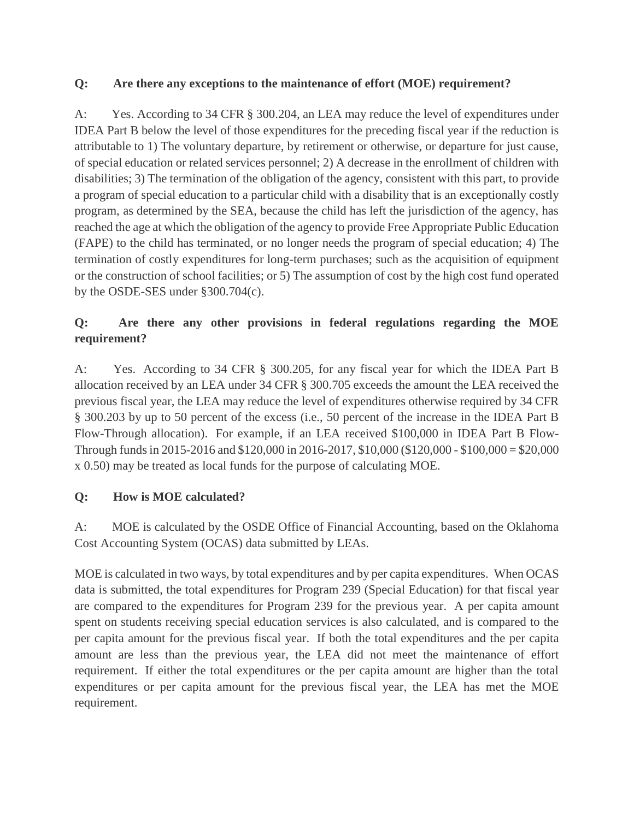#### **Q: Are there any exceptions to the maintenance of effort (MOE) requirement?**

A: Yes. According to 34 CFR § 300.204, an LEA may reduce the level of expenditures under IDEA Part B below the level of those expenditures for the preceding fiscal year if the reduction is attributable to 1) The voluntary departure, by retirement or otherwise, or departure for just cause, of special education or related services personnel; 2) A decrease in the enrollment of children with disabilities; 3) The termination of the obligation of the agency, consistent with this part, to provide a program of special education to a particular child with a disability that is an exceptionally costly program, as determined by the SEA, because the child has left the jurisdiction of the agency, has reached the age at which the obligation of the agency to provide Free Appropriate Public Education (FAPE) to the child has terminated, or no longer needs the program of special education; 4) The termination of costly expenditures for long-term purchases; such as the acquisition of equipment or the construction of school facilities; or 5) The assumption of cost by the high cost fund operated by the OSDE-SES under §300.704(c).

# **Q: Are there any other provisions in federal regulations regarding the MOE requirement?**

A: Yes. According to 34 CFR § 300.205, for any fiscal year for which the IDEA Part B allocation received by an LEA under 34 CFR § 300.705 exceeds the amount the LEA received the previous fiscal year, the LEA may reduce the level of expenditures otherwise required by 34 CFR § 300.203 by up to 50 percent of the excess (i.e., 50 percent of the increase in the IDEA Part B Flow-Through allocation). For example, if an LEA received \$100,000 in IDEA Part B Flow-Through funds in 2015-2016 and \$120,000 in 2016-2017, \$10,000 (\$120,000 - \$100,000 = \$20,000 x 0.50) may be treated as local funds for the purpose of calculating MOE.

### **Q: How is MOE calculated?**

A: MOE is calculated by the OSDE Office of Financial Accounting, based on the Oklahoma Cost Accounting System (OCAS) data submitted by LEAs.

MOE is calculated in two ways, by total expenditures and by per capita expenditures. When OCAS data is submitted, the total expenditures for Program 239 (Special Education) for that fiscal year are compared to the expenditures for Program 239 for the previous year. A per capita amount spent on students receiving special education services is also calculated, and is compared to the per capita amount for the previous fiscal year. If both the total expenditures and the per capita amount are less than the previous year, the LEA did not meet the maintenance of effort requirement. If either the total expenditures or the per capita amount are higher than the total expenditures or per capita amount for the previous fiscal year, the LEA has met the MOE requirement.